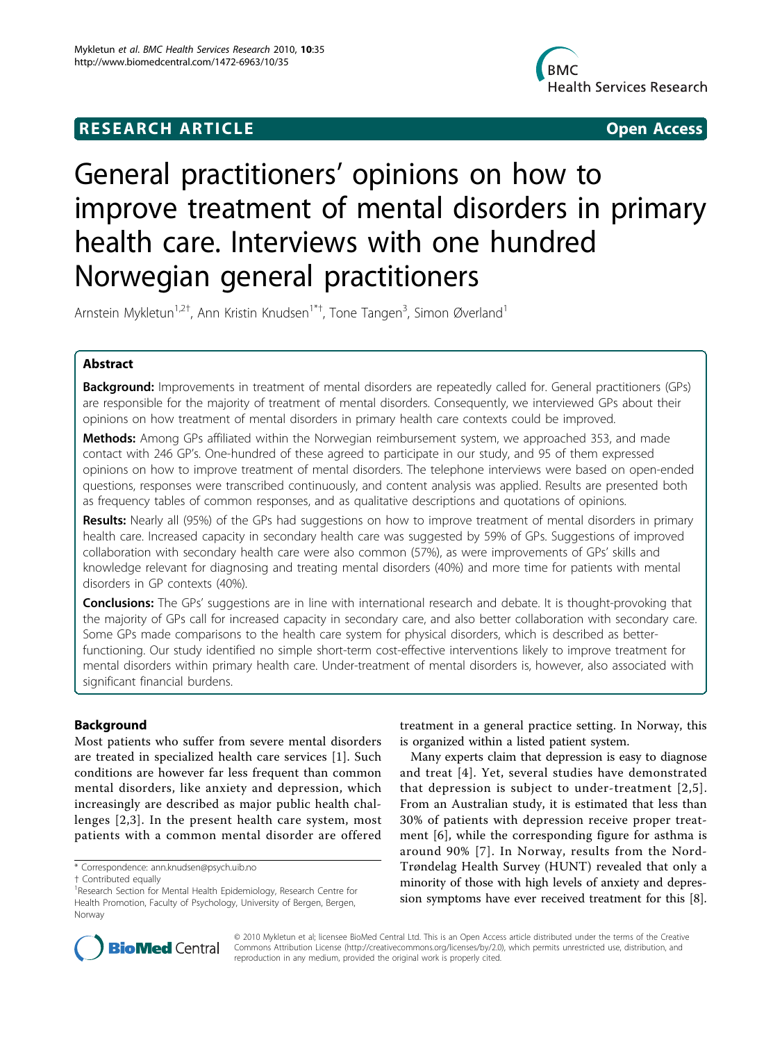## **RESEARCH ARTICLE Example 2018 12:00 Open Access**



# General practitioners' opinions on how to improve treatment of mental disorders in primary health care. Interviews with one hundred Norwegian general practitioners

Arnstein Mykletun<sup>1,2†</sup>, Ann Kristin Knudsen<sup>1\*†</sup>, Tone Tangen<sup>3</sup>, Simon Øverland<sup>1</sup>

## Abstract

**Background:** Improvements in treatment of mental disorders are repeatedly called for. General practitioners (GPs) are responsible for the majority of treatment of mental disorders. Consequently, we interviewed GPs about their opinions on how treatment of mental disorders in primary health care contexts could be improved.

Methods: Among GPs affiliated within the Norwegian reimbursement system, we approached 353, and made contact with 246 GP's. One-hundred of these agreed to participate in our study, and 95 of them expressed opinions on how to improve treatment of mental disorders. The telephone interviews were based on open-ended questions, responses were transcribed continuously, and content analysis was applied. Results are presented both as frequency tables of common responses, and as qualitative descriptions and quotations of opinions.

**Results:** Nearly all (95%) of the GPs had suggestions on how to improve treatment of mental disorders in primary health care. Increased capacity in secondary health care was suggested by 59% of GPs. Suggestions of improved collaboration with secondary health care were also common (57%), as were improvements of GPs' skills and knowledge relevant for diagnosing and treating mental disorders (40%) and more time for patients with mental disorders in GP contexts (40%).

Conclusions: The GPs' suggestions are in line with international research and debate. It is thought-provoking that the majority of GPs call for increased capacity in secondary care, and also better collaboration with secondary care. Some GPs made comparisons to the health care system for physical disorders, which is described as betterfunctioning. Our study identified no simple short-term cost-effective interventions likely to improve treatment for mental disorders within primary health care. Under-treatment of mental disorders is, however, also associated with significant financial burdens.

## Background

Most patients who suffer from severe mental disorders are treated in specialized health care services [[1](#page-5-0)]. Such conditions are however far less frequent than common mental disorders, like anxiety and depression, which increasingly are described as major public health challenges [[2](#page-5-0),[3](#page-5-0)]. In the present health care system, most patients with a common mental disorder are offered

\* Correspondence: [ann.knudsen@psych.uib.no](mailto:ann.knudsen@psych.uib.no)

treatment in a general practice setting. In Norway, this is organized within a listed patient system.

Many experts claim that depression is easy to diagnose and treat [[4](#page-5-0)]. Yet, several studies have demonstrated that depression is subject to under-treatment [[2,5\]](#page-5-0). From an Australian study, it is estimated that less than 30% of patients with depression receive proper treatment [\[6](#page-5-0)], while the corresponding figure for asthma is around 90% [[7\]](#page-5-0). In Norway, results from the Nord-Trøndelag Health Survey (HUNT) revealed that only a minority of those with high levels of anxiety and depression symptoms have ever received treatment for this [\[8](#page-5-0)].



© 2010 Mykletun et al; licensee BioMed Central Ltd. This is an Open Access article distributed under the terms of the Creative Commons Attribution License [\(http://creativecommons.org/licenses/by/2.0](http://creativecommons.org/licenses/by/2.0)), which permits unrestricted use, distribution, and reproduction in any medium, provided the original work is properly cited.

<sup>†</sup> Contributed equally <sup>1</sup>

<sup>&</sup>lt;sup>1</sup> Research Section for Mental Health Epidemiology, Research Centre for Health Promotion, Faculty of Psychology, University of Bergen, Bergen, Norway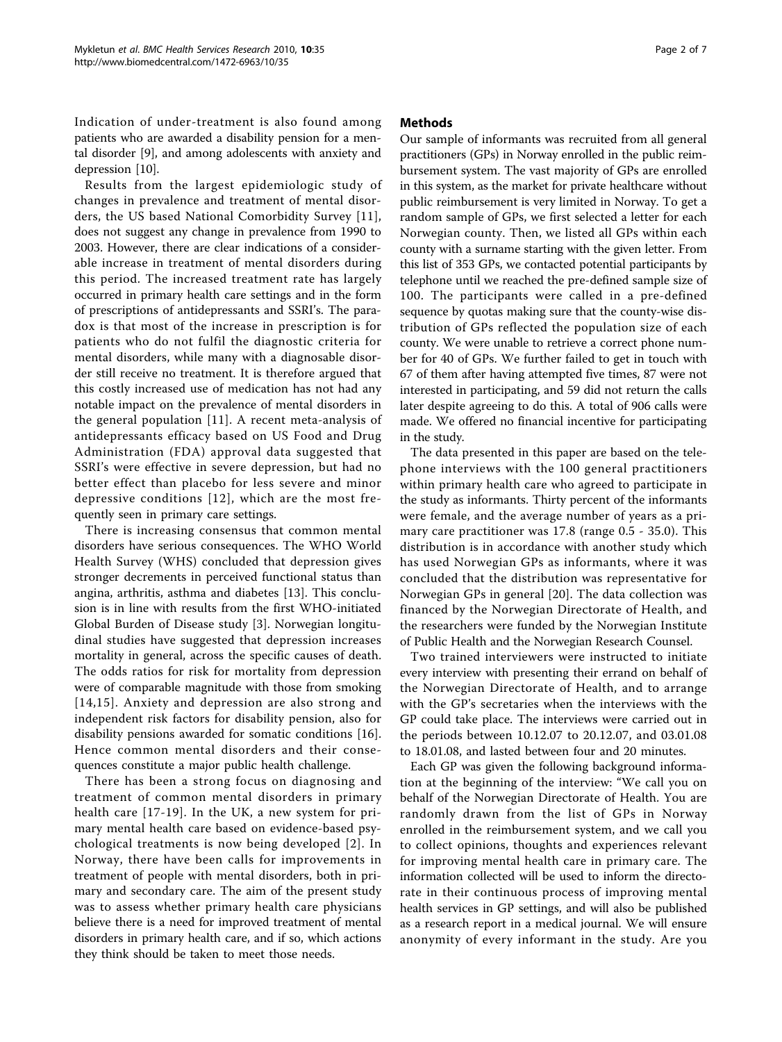Indication of under-treatment is also found among patients who are awarded a disability pension for a mental disorder [[9\]](#page-5-0), and among adolescents with anxiety and depression [\[10](#page-5-0)].

Results from the largest epidemiologic study of changes in prevalence and treatment of mental disorders, the US based National Comorbidity Survey [[11\]](#page-5-0), does not suggest any change in prevalence from 1990 to 2003. However, there are clear indications of a considerable increase in treatment of mental disorders during this period. The increased treatment rate has largely occurred in primary health care settings and in the form of prescriptions of antidepressants and SSRI's. The paradox is that most of the increase in prescription is for patients who do not fulfil the diagnostic criteria for mental disorders, while many with a diagnosable disorder still receive no treatment. It is therefore argued that this costly increased use of medication has not had any notable impact on the prevalence of mental disorders in the general population [[11](#page-5-0)]. A recent meta-analysis of antidepressants efficacy based on US Food and Drug Administration (FDA) approval data suggested that SSRI's were effective in severe depression, but had no better effect than placebo for less severe and minor depressive conditions [[12\]](#page-5-0), which are the most frequently seen in primary care settings.

There is increasing consensus that common mental disorders have serious consequences. The WHO World Health Survey (WHS) concluded that depression gives stronger decrements in perceived functional status than angina, arthritis, asthma and diabetes [\[13\]](#page-5-0). This conclusion is in line with results from the first WHO-initiated Global Burden of Disease study [\[3](#page-5-0)]. Norwegian longitudinal studies have suggested that depression increases mortality in general, across the specific causes of death. The odds ratios for risk for mortality from depression were of comparable magnitude with those from smoking [[14,15](#page-5-0)]. Anxiety and depression are also strong and independent risk factors for disability pension, also for disability pensions awarded for somatic conditions [\[16](#page-5-0)]. Hence common mental disorders and their consequences constitute a major public health challenge.

There has been a strong focus on diagnosing and treatment of common mental disorders in primary health care [[17](#page-6-0)-[19\]](#page-6-0). In the UK, a new system for primary mental health care based on evidence-based psychological treatments is now being developed [[2\]](#page-5-0). In Norway, there have been calls for improvements in treatment of people with mental disorders, both in primary and secondary care. The aim of the present study was to assess whether primary health care physicians believe there is a need for improved treatment of mental disorders in primary health care, and if so, which actions they think should be taken to meet those needs.

### Methods

Our sample of informants was recruited from all general practitioners (GPs) in Norway enrolled in the public reimbursement system. The vast majority of GPs are enrolled in this system, as the market for private healthcare without public reimbursement is very limited in Norway. To get a random sample of GPs, we first selected a letter for each Norwegian county. Then, we listed all GPs within each county with a surname starting with the given letter. From this list of 353 GPs, we contacted potential participants by telephone until we reached the pre-defined sample size of 100. The participants were called in a pre-defined sequence by quotas making sure that the county-wise distribution of GPs reflected the population size of each county. We were unable to retrieve a correct phone number for 40 of GPs. We further failed to get in touch with 67 of them after having attempted five times, 87 were not interested in participating, and 59 did not return the calls later despite agreeing to do this. A total of 906 calls were made. We offered no financial incentive for participating in the study.

The data presented in this paper are based on the telephone interviews with the 100 general practitioners within primary health care who agreed to participate in the study as informants. Thirty percent of the informants were female, and the average number of years as a primary care practitioner was 17.8 (range 0.5 - 35.0). This distribution is in accordance with another study which has used Norwegian GPs as informants, where it was concluded that the distribution was representative for Norwegian GPs in general [[20\]](#page-6-0). The data collection was financed by the Norwegian Directorate of Health, and the researchers were funded by the Norwegian Institute of Public Health and the Norwegian Research Counsel.

Two trained interviewers were instructed to initiate every interview with presenting their errand on behalf of the Norwegian Directorate of Health, and to arrange with the GP's secretaries when the interviews with the GP could take place. The interviews were carried out in the periods between 10.12.07 to 20.12.07, and 03.01.08 to 18.01.08, and lasted between four and 20 minutes.

Each GP was given the following background information at the beginning of the interview: "We call you on behalf of the Norwegian Directorate of Health. You are randomly drawn from the list of GPs in Norway enrolled in the reimbursement system, and we call you to collect opinions, thoughts and experiences relevant for improving mental health care in primary care. The information collected will be used to inform the directorate in their continuous process of improving mental health services in GP settings, and will also be published as a research report in a medical journal. We will ensure anonymity of every informant in the study. Are you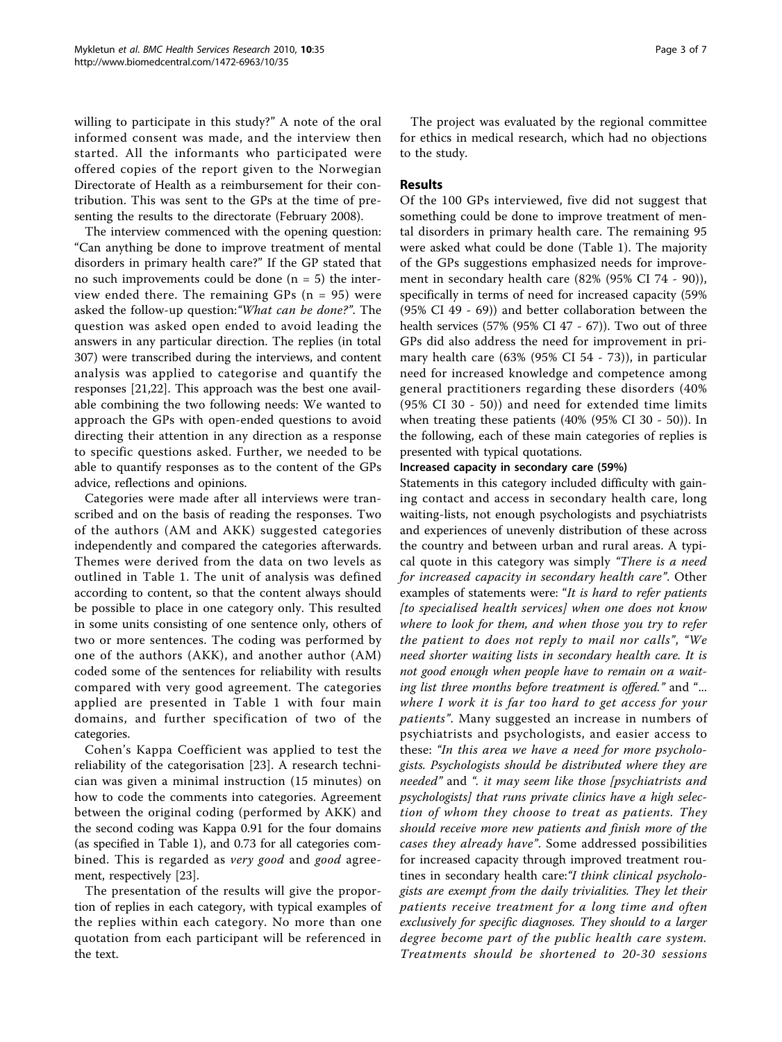willing to participate in this study?" A note of the oral informed consent was made, and the interview then started. All the informants who participated were offered copies of the report given to the Norwegian Directorate of Health as a reimbursement for their contribution. This was sent to the GPs at the time of presenting the results to the directorate (February 2008).

The interview commenced with the opening question: "Can anything be done to improve treatment of mental disorders in primary health care?" If the GP stated that no such improvements could be done  $(n = 5)$  the interview ended there. The remaining GPs  $(n = 95)$  were asked the follow-up question:"What can be done?". The question was asked open ended to avoid leading the answers in any particular direction. The replies (in total 307) were transcribed during the interviews, and content analysis was applied to categorise and quantify the responses [[21,22\]](#page-6-0). This approach was the best one available combining the two following needs: We wanted to approach the GPs with open-ended questions to avoid directing their attention in any direction as a response to specific questions asked. Further, we needed to be able to quantify responses as to the content of the GPs advice, reflections and opinions.

Categories were made after all interviews were transcribed and on the basis of reading the responses. Two of the authors (AM and AKK) suggested categories independently and compared the categories afterwards. Themes were derived from the data on two levels as outlined in Table [1.](#page-3-0) The unit of analysis was defined according to content, so that the content always should be possible to place in one category only. This resulted in some units consisting of one sentence only, others of two or more sentences. The coding was performed by one of the authors (AKK), and another author (AM) coded some of the sentences for reliability with results compared with very good agreement. The categories applied are presented in Table [1](#page-3-0) with four main domains, and further specification of two of the categories.

Cohen's Kappa Coefficient was applied to test the reliability of the categorisation [[23](#page-6-0)]. A research technician was given a minimal instruction (15 minutes) on how to code the comments into categories. Agreement between the original coding (performed by AKK) and the second coding was Kappa 0.91 for the four domains (as specified in Table [1\)](#page-3-0), and 0.73 for all categories combined. This is regarded as *very good* and *good* agreement, respectively [[23](#page-6-0)].

The presentation of the results will give the proportion of replies in each category, with typical examples of the replies within each category. No more than one quotation from each participant will be referenced in the text.

The project was evaluated by the regional committee for ethics in medical research, which had no objections to the study.

## Results

Of the 100 GPs interviewed, five did not suggest that something could be done to improve treatment of mental disorders in primary health care. The remaining 95 were asked what could be done (Table [1](#page-3-0)). The majority of the GPs suggestions emphasized needs for improvement in secondary health care (82% (95% CI 74 - 90)), specifically in terms of need for increased capacity (59% (95% CI 49 - 69)) and better collaboration between the health services (57% (95% CI 47 - 67)). Two out of three GPs did also address the need for improvement in primary health care (63% (95% CI 54 - 73)), in particular need for increased knowledge and competence among general practitioners regarding these disorders (40% (95% CI 30 - 50)) and need for extended time limits when treating these patients (40% (95% CI 30 - 50)). In the following, each of these main categories of replies is presented with typical quotations.

### Increased capacity in secondary care (59%)

Statements in this category included difficulty with gaining contact and access in secondary health care, long waiting-lists, not enough psychologists and psychiatrists and experiences of unevenly distribution of these across the country and between urban and rural areas. A typical quote in this category was simply "There is a need for increased capacity in secondary health care". Other examples of statements were: "It is hard to refer patients [to specialised health services] when one does not know where to look for them, and when those you try to refer the patient to does not reply to mail nor calls", "We need shorter waiting lists in secondary health care. It is not good enough when people have to remain on a waiting list three months before treatment is offered." and "... where I work it is far too hard to get access for your patients". Many suggested an increase in numbers of psychiatrists and psychologists, and easier access to these: "In this area we have a need for more psychologists. Psychologists should be distributed where they are needed" and ". it may seem like those [psychiatrists and psychologists] that runs private clinics have a high selection of whom they choose to treat as patients. They should receive more new patients and finish more of the cases they already have". Some addressed possibilities for increased capacity through improved treatment routines in secondary health care:"I think clinical psychologists are exempt from the daily trivialities. They let their patients receive treatment for a long time and often exclusively for specific diagnoses. They should to a larger degree become part of the public health care system. Treatments should be shortened to 20-30 sessions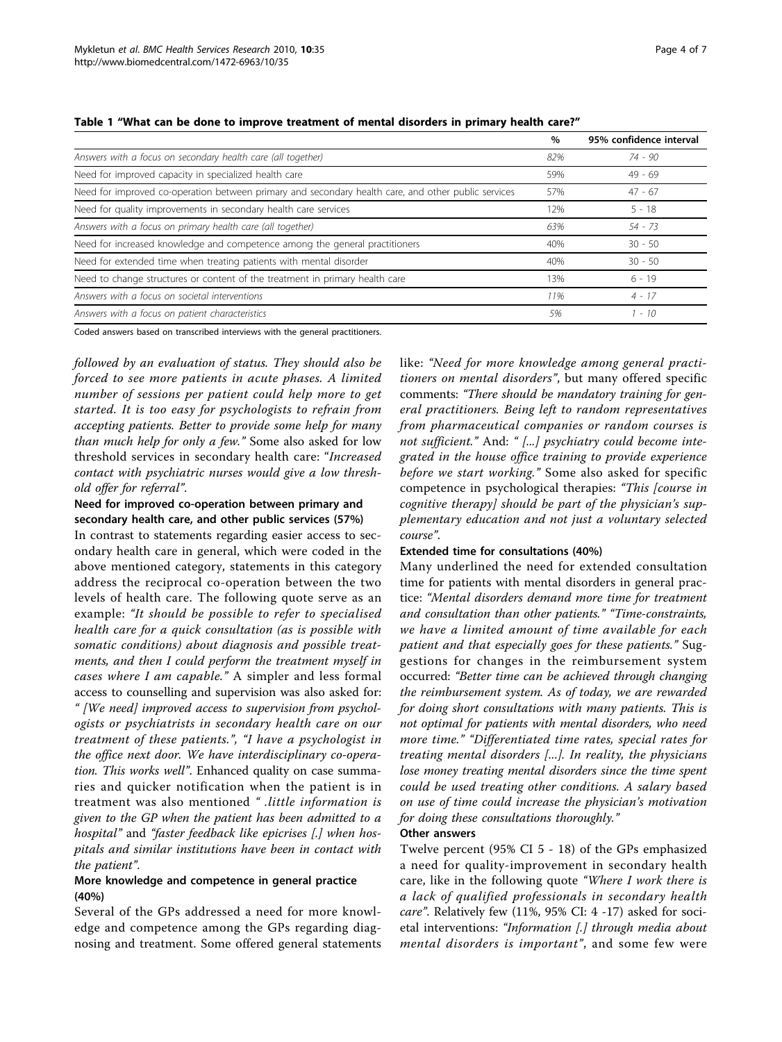|                                                                                                     | $\%$ | 95% confidence interval |
|-----------------------------------------------------------------------------------------------------|------|-------------------------|
| Answers with a focus on secondary health care (all together)                                        | 82%  | $74 - 90$               |
| Need for improved capacity in specialized health care                                               | 59%  | $49 - 69$               |
| Need for improved co-operation between primary and secondary health care, and other public services | 57%  | $47 - 67$               |
| Need for quality improvements in secondary health care services                                     | 12%  | $5 - 18$                |
| Answers with a focus on primary health care (all together)                                          | 63%  | $54 - 73$               |
| Need for increased knowledge and competence among the general practitioners                         | 40%  | $30 - 50$               |
| Need for extended time when treating patients with mental disorder                                  | 40%  | $30 - 50$               |
| Need to change structures or content of the treatment in primary health care                        | 13%  | $6 - 19$                |
| Answers with a focus on societal interventions                                                      | 11%  | $4 - 17$                |
| Answers with a focus on patient characteristics                                                     | 5%   | $1 - 10$                |

<span id="page-3-0"></span>Table 1 "What can be done to improve treatment of mental disorders in primary health care?"

Coded answers based on transcribed interviews with the general practitioners.

followed by an evaluation of status. They should also be forced to see more patients in acute phases. A limited number of sessions per patient could help more to get started. It is too easy for psychologists to refrain from accepting patients. Better to provide some help for many than much help for only a few." Some also asked for low threshold services in secondary health care: "Increased contact with psychiatric nurses would give a low threshold offer for referral".

## Need for improved co-operation between primary and secondary health care, and other public services (57%)

In contrast to statements regarding easier access to secondary health care in general, which were coded in the above mentioned category, statements in this category address the reciprocal co-operation between the two levels of health care. The following quote serve as an example: "It should be possible to refer to specialised health care for a quick consultation (as is possible with somatic conditions) about diagnosis and possible treatments, and then I could perform the treatment myself in cases where I am capable." A simpler and less formal access to counselling and supervision was also asked for: " [We need] improved access to supervision from psychologists or psychiatrists in secondary health care on our treatment of these patients.", "I have a psychologist in the office next door. We have interdisciplinary co-operation. This works well". Enhanced quality on case summaries and quicker notification when the patient is in treatment was also mentioned " .little information is given to the GP when the patient has been admitted to a hospital" and "faster feedback like epicrises [.] when hospitals and similar institutions have been in contact with the patient".

## More knowledge and competence in general practice (40%)

Several of the GPs addressed a need for more knowledge and competence among the GPs regarding diagnosing and treatment. Some offered general statements like: "Need for more knowledge among general practitioners on mental disorders", but many offered specific comments: "There should be mandatory training for general practitioners. Being left to random representatives from pharmaceutical companies or random courses is not sufficient." And: " [...] psychiatry could become integrated in the house office training to provide experience before we start working." Some also asked for specific competence in psychological therapies: "This [course in cognitive therapy] should be part of the physician's supplementary education and not just a voluntary selected course".

## Extended time for consultations (40%)

Many underlined the need for extended consultation time for patients with mental disorders in general practice: "Mental disorders demand more time for treatment and consultation than other patients." "Time-constraints, we have a limited amount of time available for each patient and that especially goes for these patients." Suggestions for changes in the reimbursement system occurred: "Better time can be achieved through changing the reimbursement system. As of today, we are rewarded for doing short consultations with many patients. This is not optimal for patients with mental disorders, who need more time." "Differentiated time rates, special rates for treating mental disorders [...]. In reality, the physicians lose money treating mental disorders since the time spent could be used treating other conditions. A salary based on use of time could increase the physician's motivation for doing these consultations thoroughly."

## Other answers

Twelve percent (95% CI 5 - 18) of the GPs emphasized a need for quality-improvement in secondary health care, like in the following quote "Where I work there is a lack of qualified professionals in secondary health care". Relatively few (11%, 95% CI: 4 -17) asked for societal interventions: "Information [.] through media about mental disorders is important", and some few were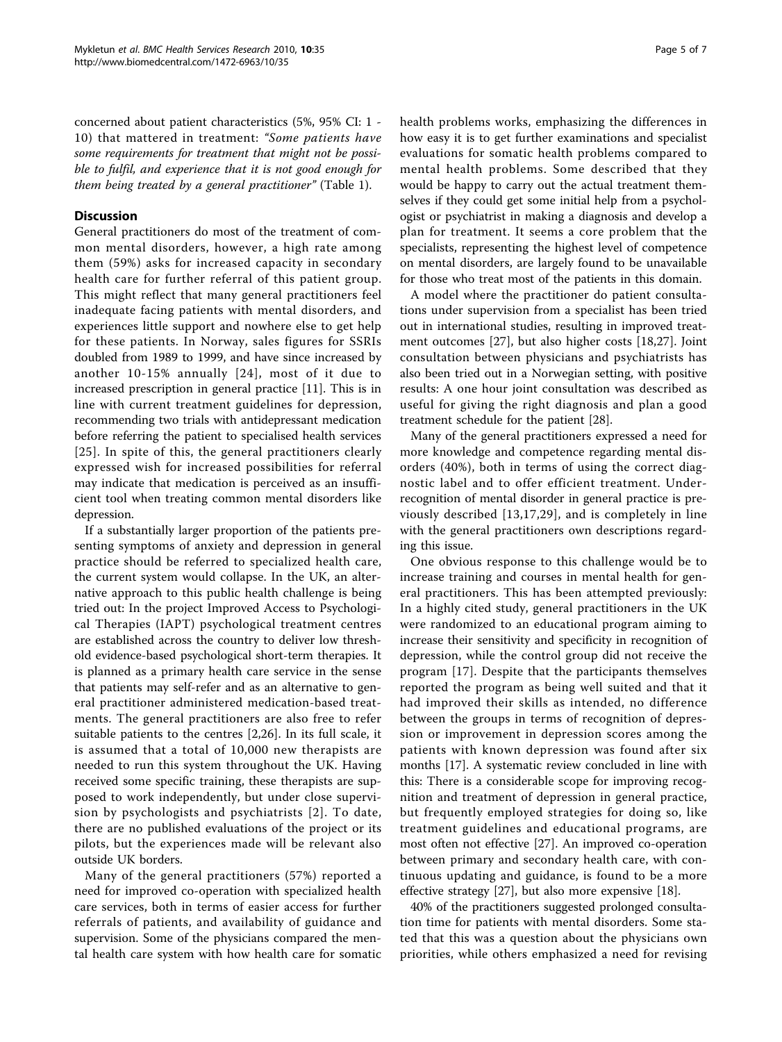concerned about patient characteristics (5%, 95% CI: 1 - 10) that mattered in treatment: "Some patients have some requirements for treatment that might not be possible to fulfil, and experience that it is not good enough for them being treated by a general practitioner" (Table [1\)](#page-3-0).

## Discussion

General practitioners do most of the treatment of common mental disorders, however, a high rate among them (59%) asks for increased capacity in secondary health care for further referral of this patient group. This might reflect that many general practitioners feel inadequate facing patients with mental disorders, and experiences little support and nowhere else to get help for these patients. In Norway, sales figures for SSRIs doubled from 1989 to 1999, and have since increased by another 10-15% annually [[24\]](#page-6-0), most of it due to increased prescription in general practice [\[11\]](#page-5-0). This is in line with current treatment guidelines for depression, recommending two trials with antidepressant medication before referring the patient to specialised health services [[25\]](#page-6-0). In spite of this, the general practitioners clearly expressed wish for increased possibilities for referral may indicate that medication is perceived as an insufficient tool when treating common mental disorders like depression.

If a substantially larger proportion of the patients presenting symptoms of anxiety and depression in general practice should be referred to specialized health care, the current system would collapse. In the UK, an alternative approach to this public health challenge is being tried out: In the project Improved Access to Psychological Therapies (IAPT) psychological treatment centres are established across the country to deliver low threshold evidence-based psychological short-term therapies. It is planned as a primary health care service in the sense that patients may self-refer and as an alternative to general practitioner administered medication-based treatments. The general practitioners are also free to refer suitable patients to the centres [[2,](#page-5-0)[26\]](#page-6-0). In its full scale, it is assumed that a total of 10,000 new therapists are needed to run this system throughout the UK. Having received some specific training, these therapists are supposed to work independently, but under close supervision by psychologists and psychiatrists [[2\]](#page-5-0). To date, there are no published evaluations of the project or its pilots, but the experiences made will be relevant also outside UK borders.

Many of the general practitioners (57%) reported a need for improved co-operation with specialized health care services, both in terms of easier access for further referrals of patients, and availability of guidance and supervision. Some of the physicians compared the mental health care system with how health care for somatic health problems works, emphasizing the differences in how easy it is to get further examinations and specialist evaluations for somatic health problems compared to mental health problems. Some described that they would be happy to carry out the actual treatment themselves if they could get some initial help from a psychologist or psychiatrist in making a diagnosis and develop a plan for treatment. It seems a core problem that the specialists, representing the highest level of competence on mental disorders, are largely found to be unavailable for those who treat most of the patients in this domain.

A model where the practitioner do patient consultations under supervision from a specialist has been tried out in international studies, resulting in improved treatment outcomes [[27\]](#page-6-0), but also higher costs [\[18,27](#page-6-0)]. Joint consultation between physicians and psychiatrists has also been tried out in a Norwegian setting, with positive results: A one hour joint consultation was described as useful for giving the right diagnosis and plan a good treatment schedule for the patient [[28](#page-6-0)].

Many of the general practitioners expressed a need for more knowledge and competence regarding mental disorders (40%), both in terms of using the correct diagnostic label and to offer efficient treatment. Underrecognition of mental disorder in general practice is previously described [[13](#page-5-0),[17,29\]](#page-6-0), and is completely in line with the general practitioners own descriptions regarding this issue.

One obvious response to this challenge would be to increase training and courses in mental health for general practitioners. This has been attempted previously: In a highly cited study, general practitioners in the UK were randomized to an educational program aiming to increase their sensitivity and specificity in recognition of depression, while the control group did not receive the program [[17\]](#page-6-0). Despite that the participants themselves reported the program as being well suited and that it had improved their skills as intended, no difference between the groups in terms of recognition of depression or improvement in depression scores among the patients with known depression was found after six months [\[17\]](#page-6-0). A systematic review concluded in line with this: There is a considerable scope for improving recognition and treatment of depression in general practice, but frequently employed strategies for doing so, like treatment guidelines and educational programs, are most often not effective [[27\]](#page-6-0). An improved co-operation between primary and secondary health care, with continuous updating and guidance, is found to be a more effective strategy [\[27](#page-6-0)], but also more expensive [[18](#page-6-0)].

40% of the practitioners suggested prolonged consultation time for patients with mental disorders. Some stated that this was a question about the physicians own priorities, while others emphasized a need for revising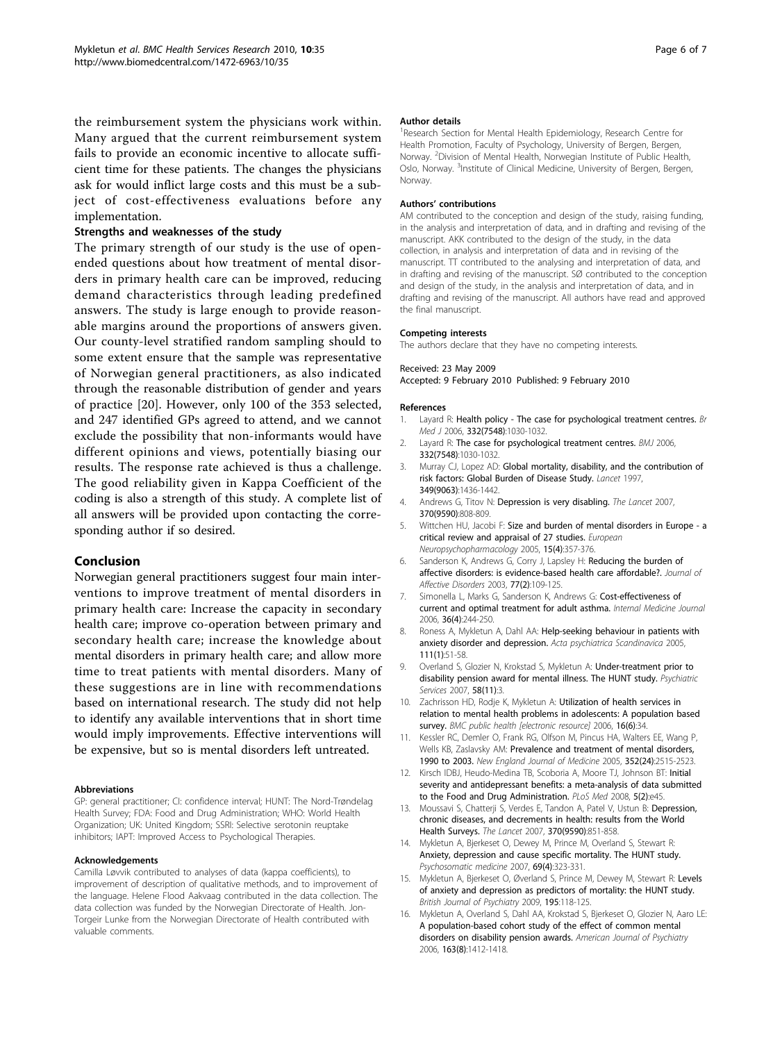<span id="page-5-0"></span>the reimbursement system the physicians work within. Many argued that the current reimbursement system fails to provide an economic incentive to allocate sufficient time for these patients. The changes the physicians ask for would inflict large costs and this must be a subject of cost-effectiveness evaluations before any implementation.

#### Strengths and weaknesses of the study

The primary strength of our study is the use of openended questions about how treatment of mental disorders in primary health care can be improved, reducing demand characteristics through leading predefined answers. The study is large enough to provide reasonable margins around the proportions of answers given. Our county-level stratified random sampling should to some extent ensure that the sample was representative of Norwegian general practitioners, as also indicated through the reasonable distribution of gender and years of practice [[20\]](#page-6-0). However, only 100 of the 353 selected, and 247 identified GPs agreed to attend, and we cannot exclude the possibility that non-informants would have different opinions and views, potentially biasing our results. The response rate achieved is thus a challenge. The good reliability given in Kappa Coefficient of the coding is also a strength of this study. A complete list of all answers will be provided upon contacting the corresponding author if so desired.

#### Conclusion

Norwegian general practitioners suggest four main interventions to improve treatment of mental disorders in primary health care: Increase the capacity in secondary health care; improve co-operation between primary and secondary health care; increase the knowledge about mental disorders in primary health care; and allow more time to treat patients with mental disorders. Many of these suggestions are in line with recommendations based on international research. The study did not help to identify any available interventions that in short time would imply improvements. Effective interventions will be expensive, but so is mental disorders left untreated.

#### Abbreviations

GP: general practitioner; CI: confidence interval; HUNT: The Nord-Trøndelag Health Survey; FDA: Food and Drug Administration; WHO: World Health Organization; UK: United Kingdom; SSRI: Selective serotonin reuptake inhibitors; IAPT: Improved Access to Psychological Therapies.

#### Acknowledgements

Camilla Løvvik contributed to analyses of data (kappa coefficients), to improvement of description of qualitative methods, and to improvement of the language. Helene Flood Aakvaag contributed in the data collection. The data collection was funded by the Norwegian Directorate of Health. Jon-Torgeir Lunke from the Norwegian Directorate of Health contributed with valuable comments.

#### Author details

<sup>1</sup>Research Section for Mental Health Epidemiology, Research Centre for Health Promotion, Faculty of Psychology, University of Bergen, Bergen, Norway. <sup>2</sup> Division of Mental Health, Norwegian Institute of Public Health Oslo, Norway. <sup>3</sup>Institute of Clinical Medicine, University of Bergen, Bergen, Norway.

#### Authors' contributions

AM contributed to the conception and design of the study, raising funding, in the analysis and interpretation of data, and in drafting and revising of the manuscript. AKK contributed to the design of the study, in the data collection, in analysis and interpretation of data and in revising of the manuscript. TT contributed to the analysing and interpretation of data, and in drafting and revising of the manuscript. SØ contributed to the conception and design of the study, in the analysis and interpretation of data, and in drafting and revising of the manuscript. All authors have read and approved the final manuscript.

#### Competing interests

The authors declare that they have no competing interests.

#### Received: 23 May 2009

Accepted: 9 February 2010 Published: 9 February 2010

#### References

- 1. Layard R: Health policy The case for psychological treatment centres. Br Med J 2006, 332(7548):1030-1032.
- 2. Layard R: [The case for psychological treatment centres.](http://www.ncbi.nlm.nih.gov/pubmed/16644834?dopt=Abstract) BMJ 2006, 332(7548):1030-1032.
- 3. Murray CJ, Lopez AD: [Global mortality, disability, and the contribution of](http://www.ncbi.nlm.nih.gov/pubmed/9164317?dopt=Abstract) [risk factors: Global Burden of Disease Study.](http://www.ncbi.nlm.nih.gov/pubmed/9164317?dopt=Abstract) Lancet 1997, 349(9063):1436-1442.
- 4. Andrews G, Titov N: Depression is very disabling. The Lancet 2007, 370(9590):808-809.
- 5. Wittchen HU, Jacobi F: [Size and burden of mental disorders in Europe a](http://www.ncbi.nlm.nih.gov/pubmed/15961293?dopt=Abstract) [critical review and appraisal of 27 studies.](http://www.ncbi.nlm.nih.gov/pubmed/15961293?dopt=Abstract) European Neuropsychopharmacology 2005, 15(4):357-376.
- 6. Sanderson K, Andrews G, Corry J, Lapsley H: [Reducing the burden of](http://www.ncbi.nlm.nih.gov/pubmed/14607388?dopt=Abstract) [affective disorders: is evidence-based health care affordable?.](http://www.ncbi.nlm.nih.gov/pubmed/14607388?dopt=Abstract) Journal of Affective Disorders 2003, 77(2):109-125.
- 7. Simonella L, Marks G, Sanderson K, Andrews G: [Cost-effectiveness of](http://www.ncbi.nlm.nih.gov/pubmed/16640742?dopt=Abstract) [current and optimal treatment for adult asthma.](http://www.ncbi.nlm.nih.gov/pubmed/16640742?dopt=Abstract) Internal Medicine Journal 2006, 36(4):244-250.
- 8. Roness A, Mykletun A, Dahl AA: [Help-seeking behaviour in patients with](http://www.ncbi.nlm.nih.gov/pubmed/15636594?dopt=Abstract) [anxiety disorder and depression.](http://www.ncbi.nlm.nih.gov/pubmed/15636594?dopt=Abstract) Acta psychiatrica Scandinavica 2005, 111(1):51-58.
- 9. Overland S, Glozier N, Krokstad S, Mykletun A: Under-treatment prior to disability pension award for mental illness. The HUNT study. Psychiatric Services 2007, 58(11):3.
- 10. Zachrisson HD, Rodie K, Mykletun A: Utilization of health services in relation to mental health problems in adolescents: A population based survey. BMC public health [electronic resource] 2006, 16(6):34.
- 11. Kessler RC, Demler O, Frank RG, Olfson M, Pincus HA, Walters EE, Wang P, Wells KB, Zaslavsky AM: [Prevalence and treatment of mental disorders,](http://www.ncbi.nlm.nih.gov/pubmed/15958807?dopt=Abstract) [1990 to 2003.](http://www.ncbi.nlm.nih.gov/pubmed/15958807?dopt=Abstract) New England Journal of Medicine 2005, 352(24):2515-2523.
- 12. Kirsch IDBJ, Heudo-Medina TB, Scoboria A, Moore TJ, Johnson BT: [Initial](http://www.ncbi.nlm.nih.gov/pubmed/18303940?dopt=Abstract) [severity and antidepressant benefits: a meta-analysis of data submitted](http://www.ncbi.nlm.nih.gov/pubmed/18303940?dopt=Abstract) [to the Food and Drug Administration.](http://www.ncbi.nlm.nih.gov/pubmed/18303940?dopt=Abstract) PLoS Med 2008, 5(2):e45.
- 13. Moussavi S, Chatterji S, Verdes E, Tandon A, Patel V, Ustun B: Depression, chronic diseases, and decrements in health: results from the World Health Surveys. The Lancet 2007, 370(9590):851-858.
- 14. Mykletun A, Bjerkeset O, Dewey M, Prince M, Overland S, Stewart R: [Anxiety, depression and cause specific mortality. The HUNT study.](http://www.ncbi.nlm.nih.gov/pubmed/17470669?dopt=Abstract) Psychosomatic medicine 2007, 69(4):323-331.
- 15. Mykletun A, Bjerkeset O, Øverland S, Prince M, Dewey M, Stewart R: [Levels](http://www.ncbi.nlm.nih.gov/pubmed/19648541?dopt=Abstract) [of anxiety and depression as predictors of mortality: the HUNT study.](http://www.ncbi.nlm.nih.gov/pubmed/19648541?dopt=Abstract) British Journal of Psychiatry 2009, 195:118-125.
- 16. Mykletun A, Overland S, Dahl AA, Krokstad S, Bjerkeset O, Glozier N, Aaro LE: [A population-based cohort study of the effect of common mental](http://www.ncbi.nlm.nih.gov/pubmed/16877655?dopt=Abstract) [disorders on disability pension awards.](http://www.ncbi.nlm.nih.gov/pubmed/16877655?dopt=Abstract) American Journal of Psychiatry 2006, 163(8):1412-1418.